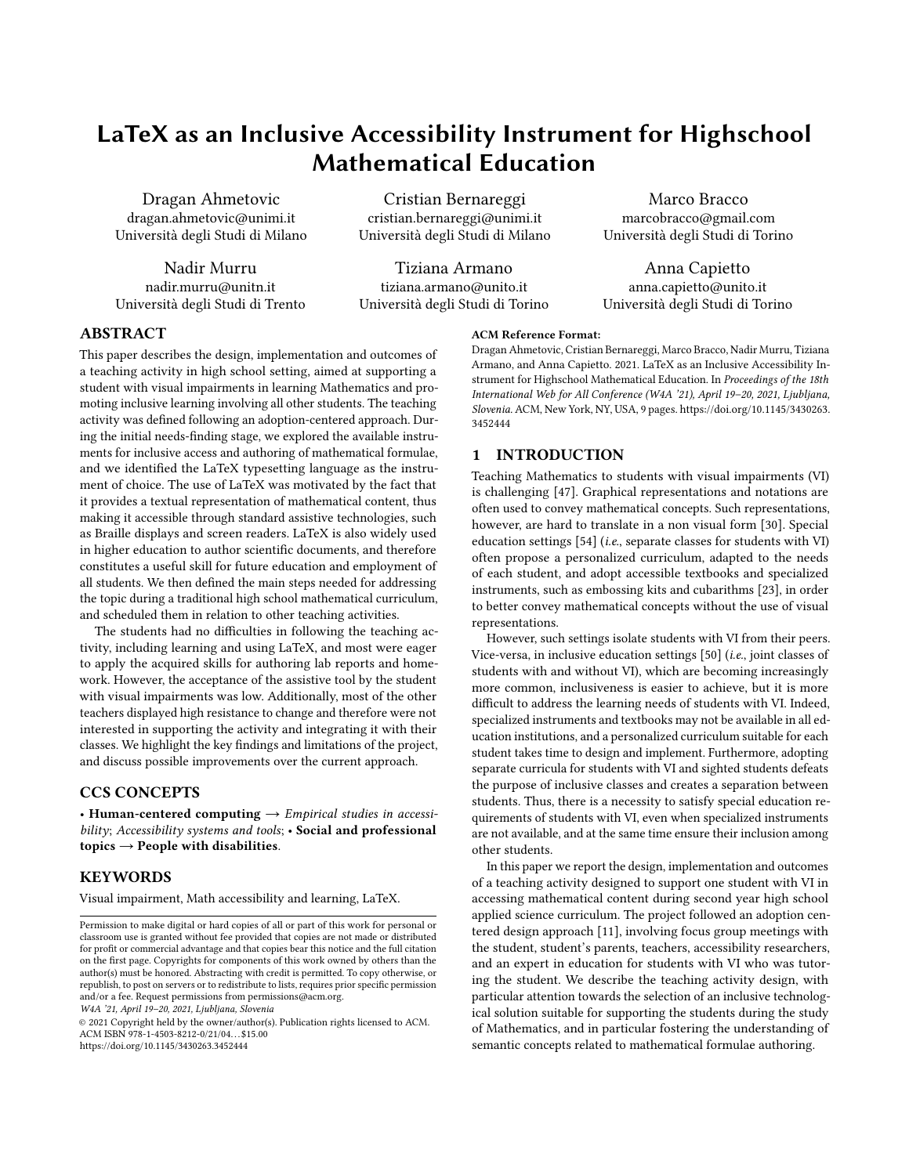# LaTeX as an Inclusive Accessibility Instrument for Highschool Mathematical Education

Università degli Studi di Trento Università degli Studi di Torino Università degli Studi di Torino

Dragan Ahmetovic Cristian Bernareggi Marco Bracco dragan.ahmetovic@unimi.it cristian.bernareggi@unimi.it marcobracco@gmail.com Università degli Studi di Milano Università degli Studi di Milano Università degli Studi di Torino

Nadir Murru Tiziana Armano Anna Capietto nadir.murru@unitn.it tiziana.armano@unito.it anna.capietto@unito.it

## ABSTRACT

This paper describes the design, implementation and outcomes of a teaching activity in high school setting, aimed at supporting a student with visual impairments in learning Mathematics and promoting inclusive learning involving all other students. The teaching activity was defned following an adoption-centered approach. During the initial needs-fnding stage, we explored the available instruments for inclusive access and authoring of mathematical formulae, and we identifed the LaTeX typesetting language as the instrument of choice. The use of LaTeX was motivated by the fact that it provides a textual representation of mathematical content, thus making it accessible through standard assistive technologies, such as Braille displays and screen readers. LaTeX is also widely used in higher education to author scientifc documents, and therefore constitutes a useful skill for future education and employment of all students. We then defned the main steps needed for addressing the topic during a traditional high school mathematical curriculum, and scheduled them in relation to other teaching activities.

The students had no difficulties in following the teaching activity, including learning and using LaTeX, and most were eager to apply the acquired skills for authoring lab reports and homework. However, the acceptance of the assistive tool by the student with visual impairments was low. Additionally, most of the other teachers displayed high resistance to change and therefore were not interested in supporting the activity and integrating it with their classes. We highlight the key fndings and limitations of the project, and discuss possible improvements over the current approach.

## CCS CONCEPTS

• Human-centered computing  $\rightarrow$  Empirical studies in accessibility; Accessibility systems and tools; • Social and professional topics  $\rightarrow$  People with disabilities.

## **KEYWORDS**

Visual impairment, Math accessibility and learning, LaTeX.

W4A '21, April 19–20, 2021, Ljubljana, Slovenia

© 2021 Copyright held by the owner/author(s). Publication rights licensed to ACM. ACM ISBN 978-1-4503-8212-0/21/04. . . \$15.00 <https://doi.org/10.1145/3430263.3452444>

#### ACM Reference Format:

DraganAhmetovic, Cristian Bernareggi, Marco Bracco,Nadir Murru, Tiziana Armano, and Anna Capietto. 2021. LaTeX as an Inclusive Accessibility Instrument for Highschool Mathematical Education. In Proceedings of the 18th International Web for All Conference (W4A '21), April 19–20, 2021, Ljubljana, Slovenia. ACM, New York, NY, USA, [9](#page-8-0) pages. [https://doi.org/10.1145/3430263.](https://doi.org/10.1145/3430263.3452444) [3452444](https://doi.org/10.1145/3430263.3452444)

## 1 INTRODUCTION

Teaching Mathematics to students with visual impairments (VI) is challenging [\[47\]](#page-8-1). Graphical representations and notations are often used to convey mathematical concepts. Such representations, however, are hard to translate in a non visual form [\[30\]](#page-8-2). Special education settings [\[54\]](#page-8-3) (*i.e.*, separate classes for students with VI) often propose a personalized curriculum, adapted to the needs of each student, and adopt accessible textbooks and specialized instruments, such as embossing kits and cubarithms [\[23\]](#page-8-4), in order to better convey mathematical concepts without the use of visual representations.

However, such settings isolate students with VI from their peers. Vice-versa, in inclusive education settings [\[50\]](#page-8-5) (i.e., joint classes of students with and without VI), which are becoming increasingly more common, inclusiveness is easier to achieve, but it is more difficult to address the learning needs of students with VI. Indeed, specialized instruments and textbooks may not be available in all education institutions, and a personalized curriculum suitable for each student takes time to design and implement. Furthermore, adopting separate curricula for students with VI and sighted students defeats the purpose of inclusive classes and creates a separation between students. Thus, there is a necessity to satisfy special education requirements of students with VI, even when specialized instruments are not available, and at the same time ensure their inclusion among other students.

In this paper we report the design, implementation and outcomes of a teaching activity designed to support one student with VI in accessing mathematical content during second year high school applied science curriculum. The project followed an adoption centered design approach [\[11\]](#page-8-6), involving focus group meetings with the student, student's parents, teachers, accessibility researchers, and an expert in education for students with VI who was tutoring the student. We describe the teaching activity design, with particular attention towards the selection of an inclusive technological solution suitable for supporting the students during the study of Mathematics, and in particular fostering the understanding of semantic concepts related to mathematical formulae authoring.

Permission to make digital or hard copies of all or part of this work for personal or classroom use is granted without fee provided that copies are not made or distributed for proft or commercial advantage and that copies bear this notice and the full citation on the frst page. Copyrights for components of this work owned by others than the author(s) must be honored. Abstracting with credit is permitted. To copy otherwise, or republish, to post on servers or to redistribute to lists, requires prior specifc permission and/or a fee. Request permissions from permissions@acm.org.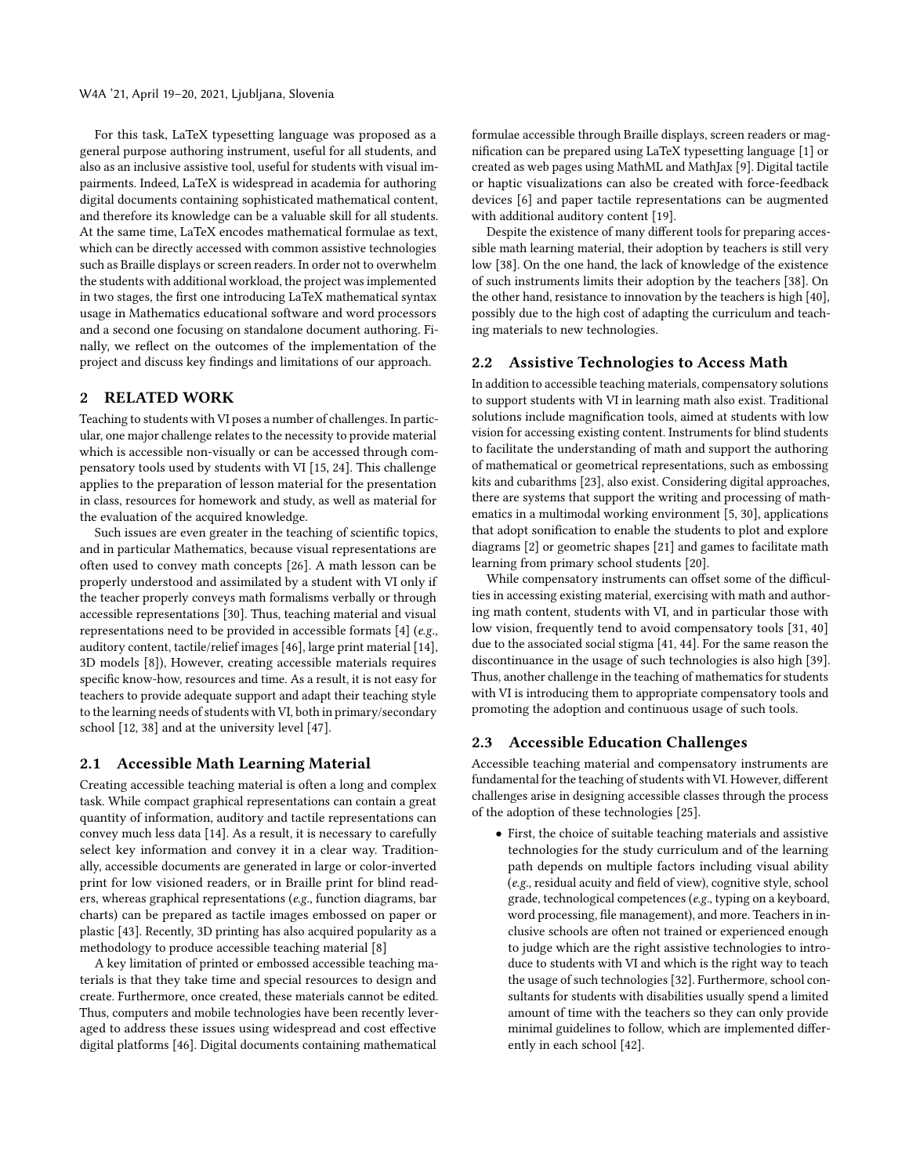For this task, LaTeX typesetting language was proposed as a general purpose authoring instrument, useful for all students, and also as an inclusive assistive tool, useful for students with visual impairments. Indeed, LaTeX is widespread in academia for authoring digital documents containing sophisticated mathematical content, and therefore its knowledge can be a valuable skill for all students. At the same time, LaTeX encodes mathematical formulae as text, which can be directly accessed with common assistive technologies such as Braille displays or screen readers. In order not to overwhelm the students with additional workload, the project was implemented in two stages, the frst one introducing LaTeX mathematical syntax usage in Mathematics educational software and word processors and a second one focusing on standalone document authoring. Finally, we refect on the outcomes of the implementation of the project and discuss key fndings and limitations of our approach.

## 2 RELATED WORK

Teaching to students with VI poses a number of challenges. In particular, one major challenge relates to the necessity to provide material which is accessible non-visually or can be accessed through compensatory tools used by students with VI [\[15,](#page-8-7) [24\]](#page-8-8). This challenge applies to the preparation of lesson material for the presentation in class, resources for homework and study, as well as material for the evaluation of the acquired knowledge.

Such issues are even greater in the teaching of scientifc topics, and in particular Mathematics, because visual representations are often used to convey math concepts [\[26\]](#page-8-9). A math lesson can be properly understood and assimilated by a student with VI only if the teacher properly conveys math formalisms verbally or through accessible representations [\[30\]](#page-8-2). Thus, teaching material and visual representations need to be provided in accessible formats [\[4\]](#page-8-10) (e.g., auditory content, tactile/relief images [\[46\]](#page-8-11), large print material [\[14\]](#page-8-12), 3D models [\[8\]](#page-8-13)), However, creating accessible materials requires specifc know-how, resources and time. As a result, it is not easy for teachers to provide adequate support and adapt their teaching style to the learning needs of students with VI, both in primary/secondary school [\[12,](#page-8-14) [38\]](#page-8-15) and at the university level [\[47\]](#page-8-1).

#### 2.1 Accessible Math Learning Material

Creating accessible teaching material is often a long and complex task. While compact graphical representations can contain a great quantity of information, auditory and tactile representations can convey much less data [\[14\]](#page-8-12). As a result, it is necessary to carefully select key information and convey it in a clear way. Traditionally, accessible documents are generated in large or color-inverted print for low visioned readers, or in Braille print for blind readers, whereas graphical representations (e.g., function diagrams, bar charts) can be prepared as tactile images embossed on paper or plastic [\[43\]](#page-8-16). Recently, 3D printing has also acquired popularity as a methodology to produce accessible teaching material [\[8\]](#page-8-13)

A key limitation of printed or embossed accessible teaching materials is that they take time and special resources to design and create. Furthermore, once created, these materials cannot be edited. Thus, computers and mobile technologies have been recently leveraged to address these issues using widespread and cost efective digital platforms [\[46\]](#page-8-11). Digital documents containing mathematical

formulae accessible through Braille displays, screen readers or magnifcation can be prepared using LaTeX typesetting language [\[1\]](#page-8-17) or created as web pages using MathML and MathJax [\[9\]](#page-8-18). Digital tactile or haptic visualizations can also be created with force-feedback devices [\[6\]](#page-8-19) and paper tactile representations can be augmented with additional auditory content [\[19\]](#page-8-20).

Despite the existence of many diferent tools for preparing accessible math learning material, their adoption by teachers is still very low [\[38\]](#page-8-15). On the one hand, the lack of knowledge of the existence of such instruments limits their adoption by the teachers [\[38\]](#page-8-15). On the other hand, resistance to innovation by the teachers is high [\[40\]](#page-8-21), possibly due to the high cost of adapting the curriculum and teaching materials to new technologies.

#### 2.2 Assistive Technologies to Access Math

In addition to accessible teaching materials, compensatory solutions to support students with VI in learning math also exist. Traditional solutions include magnifcation tools, aimed at students with low vision for accessing existing content. Instruments for blind students to facilitate the understanding of math and support the authoring of mathematical or geometrical representations, such as embossing kits and cubarithms [\[23\]](#page-8-4), also exist. Considering digital approaches, there are systems that support the writing and processing of mathematics in a multimodal working environment [\[5,](#page-8-22) [30\]](#page-8-2), applications that adopt sonifcation to enable the students to plot and explore diagrams [\[2\]](#page-8-23) or geometric shapes [\[21\]](#page-8-24) and games to facilitate math learning from primary school students [\[20\]](#page-8-25).

While compensatory instruments can offset some of the difficulties in accessing existing material, exercising with math and authoring math content, students with VI, and in particular those with low vision, frequently tend to avoid compensatory tools [\[31,](#page-8-26) [40\]](#page-8-21) due to the associated social stigma [\[41,](#page-8-27) [44\]](#page-8-28). For the same reason the discontinuance in the usage of such technologies is also high [\[39\]](#page-8-29). Thus, another challenge in the teaching of mathematics for students with VI is introducing them to appropriate compensatory tools and promoting the adoption and continuous usage of such tools.

## 2.3 Accessible Education Challenges

Accessible teaching material and compensatory instruments are fundamental for the teaching of students with VI. However, different challenges arise in designing accessible classes through the process of the adoption of these technologies [\[25\]](#page-8-30).

• First, the choice of suitable teaching materials and assistive technologies for the study curriculum and of the learning path depends on multiple factors including visual ability (e.g., residual acuity and feld of view), cognitive style, school grade, technological competences (e.g., typing on a keyboard, word processing, fle management), and more. Teachers in inclusive schools are often not trained or experienced enough to judge which are the right assistive technologies to introduce to students with VI and which is the right way to teach the usage of such technologies [\[32\]](#page-8-31). Furthermore, school consultants for students with disabilities usually spend a limited amount of time with the teachers so they can only provide minimal guidelines to follow, which are implemented diferently in each school [\[42\]](#page-8-32).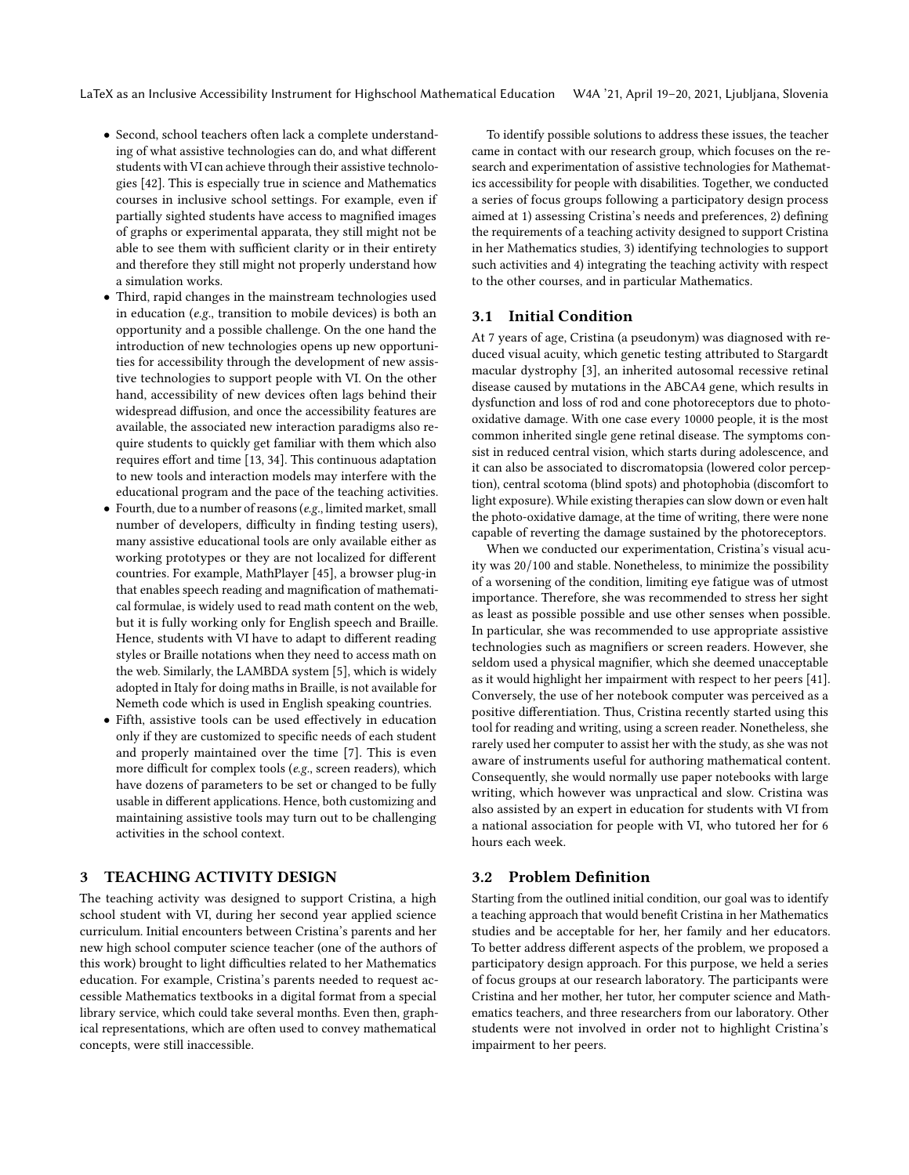- Second, school teachers often lack a complete understanding of what assistive technologies can do, and what diferent students with VI can achieve through their assistive technologies [\[42\]](#page-8-32). This is especially true in science and Mathematics courses in inclusive school settings. For example, even if partially sighted students have access to magnifed images of graphs or experimental apparata, they still might not be able to see them with sufficient clarity or in their entirety and therefore they still might not properly understand how a simulation works.
- Third, rapid changes in the mainstream technologies used in education (e.g., transition to mobile devices) is both an opportunity and a possible challenge. On the one hand the introduction of new technologies opens up new opportunities for accessibility through the development of new assistive technologies to support people with VI. On the other hand, accessibility of new devices often lags behind their widespread difusion, and once the accessibility features are available, the associated new interaction paradigms also require students to quickly get familiar with them which also requires effort and time [\[13,](#page-8-33) [34\]](#page-8-34). This continuous adaptation to new tools and interaction models may interfere with the educational program and the pace of the teaching activities.
- $\bullet$  Fourth, due to a number of reasons (e.g., limited market, small number of developers, difficulty in finding testing users), many assistive educational tools are only available either as working prototypes or they are not localized for diferent countries. For example, MathPlayer [\[45\]](#page-8-35), a browser plug-in that enables speech reading and magnifcation of mathematical formulae, is widely used to read math content on the web, but it is fully working only for English speech and Braille. Hence, students with VI have to adapt to diferent reading styles or Braille notations when they need to access math on the web. Similarly, the LAMBDA system [\[5\]](#page-8-22), which is widely adopted in Italy for doing maths in Braille, is not available for Nemeth code which is used in English speaking countries.
- Fifth, assistive tools can be used efectively in education only if they are customized to specifc needs of each student and properly maintained over the time [\[7\]](#page-8-36). This is even more difficult for complex tools ( $e.g.,$  screen readers), which have dozens of parameters to be set or changed to be fully usable in diferent applications. Hence, both customizing and maintaining assistive tools may turn out to be challenging activities in the school context.

## **TEACHING ACTIVITY DESIGN**

The teaching activity was designed to support Cristina, a high school student with VI, during her second year applied science curriculum. Initial encounters between Cristina's parents and her new high school computer science teacher (one of the authors of this work) brought to light difficulties related to her Mathematics education. For example, Cristina's parents needed to request accessible Mathematics textbooks in a digital format from a special library service, which could take several months. Even then, graphical representations, which are often used to convey mathematical concepts, were still inaccessible.

To identify possible solutions to address these issues, the teacher came in contact with our research group, which focuses on the research and experimentation of assistive technologies for Mathematics accessibility for people with disabilities. Together, we conducted a series of focus groups following a participatory design process aimed at 1) assessing Cristina's needs and preferences, 2) defning the requirements of a teaching activity designed to support Cristina in her Mathematics studies, 3) identifying technologies to support such activities and 4) integrating the teaching activity with respect to the other courses, and in particular Mathematics.

#### 3.1 Initial Condition

At 7 years of age, Cristina (a pseudonym) was diagnosed with reduced visual acuity, which genetic testing attributed to Stargardt macular dystrophy [\[3\]](#page-8-37), an inherited autosomal recessive retinal disease caused by mutations in the ABCA4 gene, which results in dysfunction and loss of rod and cone photoreceptors due to photooxidative damage. With one case every 10000 people, it is the most common inherited single gene retinal disease. The symptoms consist in reduced central vision, which starts during adolescence, and it can also be associated to discromatopsia (lowered color perception), central scotoma (blind spots) and photophobia (discomfort to light exposure). While existing therapies can slow down or even halt the photo-oxidative damage, at the time of writing, there were none capable of reverting the damage sustained by the photoreceptors.

When we conducted our experimentation, Cristina's visual acuity was 20/100 and stable. Nonetheless, to minimize the possibility of a worsening of the condition, limiting eye fatigue was of utmost importance. Therefore, she was recommended to stress her sight as least as possible possible and use other senses when possible. In particular, she was recommended to use appropriate assistive technologies such as magnifers or screen readers. However, she seldom used a physical magnifer, which she deemed unacceptable as it would highlight her impairment with respect to her peers [\[41\]](#page-8-27). Conversely, the use of her notebook computer was perceived as a positive diferentiation. Thus, Cristina recently started using this tool for reading and writing, using a screen reader. Nonetheless, she rarely used her computer to assist her with the study, as she was not aware of instruments useful for authoring mathematical content. Consequently, she would normally use paper notebooks with large writing, which however was unpractical and slow. Cristina was also assisted by an expert in education for students with VI from a national association for people with VI, who tutored her for 6 hours each week.

## 3.2 Problem Defnition

Starting from the outlined initial condition, our goal was to identify a teaching approach that would beneft Cristina in her Mathematics studies and be acceptable for her, her family and her educators. To better address diferent aspects of the problem, we proposed a participatory design approach. For this purpose, we held a series of focus groups at our research laboratory. The participants were Cristina and her mother, her tutor, her computer science and Mathematics teachers, and three researchers from our laboratory. Other students were not involved in order not to highlight Cristina's impairment to her peers.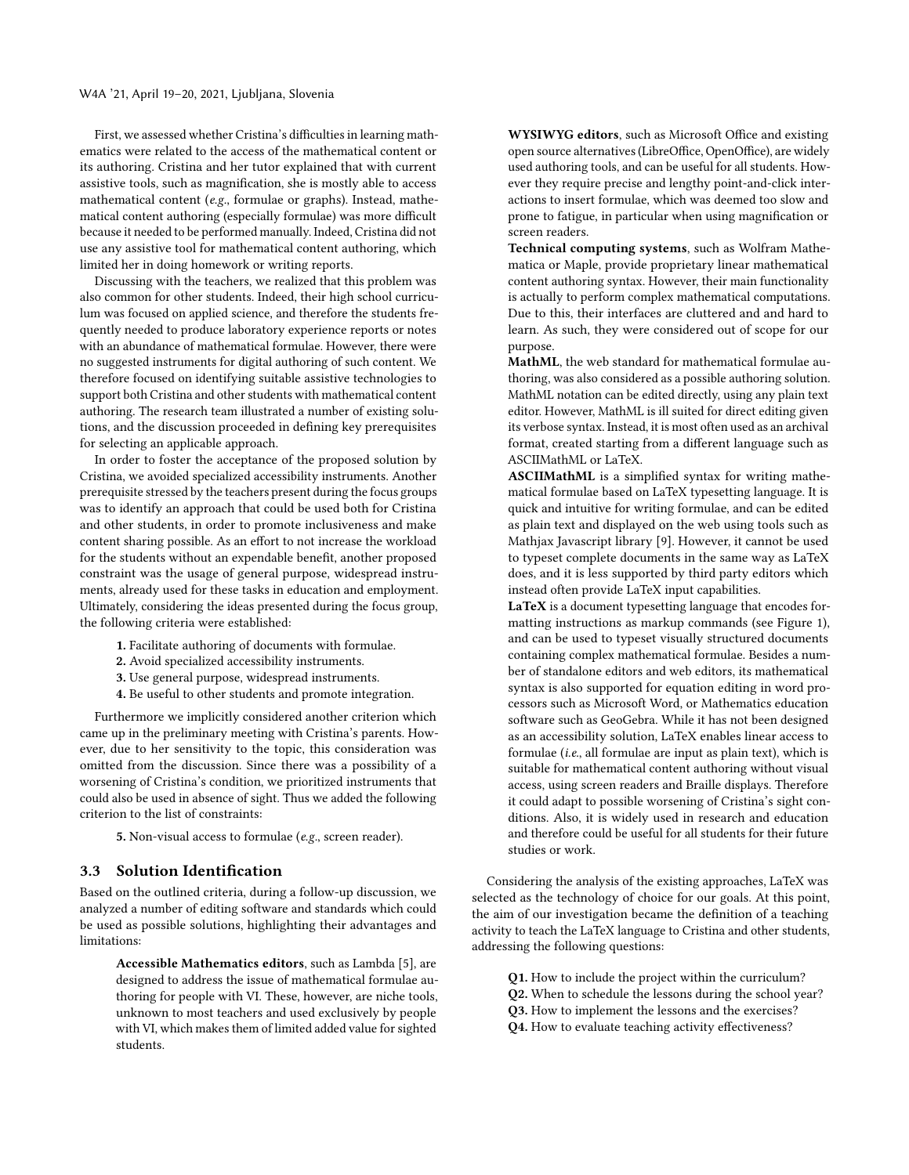First, we assessed whether Cristina's difficulties in learning mathematics were related to the access of the mathematical content or its authoring. Cristina and her tutor explained that with current assistive tools, such as magnifcation, she is mostly able to access mathematical content (e.g., formulae or graphs). Instead, mathematical content authoring (especially formulae) was more difficult because it needed to be performed manually. Indeed, Cristina did not use any assistive tool for mathematical content authoring, which limited her in doing homework or writing reports.

Discussing with the teachers, we realized that this problem was also common for other students. Indeed, their high school curriculum was focused on applied science, and therefore the students frequently needed to produce laboratory experience reports or notes with an abundance of mathematical formulae. However, there were no suggested instruments for digital authoring of such content. We therefore focused on identifying suitable assistive technologies to support both Cristina and other students with mathematical content authoring. The research team illustrated a number of existing solutions, and the discussion proceeded in defning key prerequisites for selecting an applicable approach.

In order to foster the acceptance of the proposed solution by Cristina, we avoided specialized accessibility instruments. Another prerequisite stressed by the teachers present during the focus groups was to identify an approach that could be used both for Cristina and other students, in order to promote inclusiveness and make content sharing possible. As an effort to not increase the workload for the students without an expendable beneft, another proposed constraint was the usage of general purpose, widespread instruments, already used for these tasks in education and employment. Ultimately, considering the ideas presented during the focus group, the following criteria were established:

- 1. Facilitate authoring of documents with formulae.
- 2. Avoid specialized accessibility instruments.
- 3. Use general purpose, widespread instruments.
- 4. Be useful to other students and promote integration.

Furthermore we implicitly considered another criterion which came up in the preliminary meeting with Cristina's parents. However, due to her sensitivity to the topic, this consideration was omitted from the discussion. Since there was a possibility of a worsening of Cristina's condition, we prioritized instruments that could also be used in absence of sight. Thus we added the following criterion to the list of constraints:

5. Non-visual access to formulae (e.g., screen reader).

#### 3.3 Solution Identifcation

Based on the outlined criteria, during a follow-up discussion, we analyzed a number of editing software and standards which could be used as possible solutions, highlighting their advantages and limitations:

Accessible Mathematics editors, such as Lambda [\[5\]](#page-8-22), are designed to address the issue of mathematical formulae authoring for people with VI. These, however, are niche tools, unknown to most teachers and used exclusively by people with VI, which makes them of limited added value for sighted students.

WYSIWYG editors, such as Microsoft Office and existing open source alternatives (LibreOffice, OpenOffice), are widely used authoring tools, and can be useful for all students. However they require precise and lengthy point-and-click interactions to insert formulae, which was deemed too slow and prone to fatigue, in particular when using magnifcation or screen readers.

Technical computing systems, such as Wolfram Mathematica or Maple, provide proprietary linear mathematical content authoring syntax. However, their main functionality is actually to perform complex mathematical computations. Due to this, their interfaces are cluttered and and hard to learn. As such, they were considered out of scope for our purpose.

MathML, the web standard for mathematical formulae authoring, was also considered as a possible authoring solution. MathML notation can be edited directly, using any plain text editor. However, MathML is ill suited for direct editing given its verbose syntax. Instead, it is most often used as an archival format, created starting from a diferent language such as ASCIIMathML or LaTeX.

ASCIIMathML is a simplifed syntax for writing mathematical formulae based on LaTeX typesetting language. It is quick and intuitive for writing formulae, and can be edited as plain text and displayed on the web using tools such as Mathjax Javascript library [\[9\]](#page-8-18). However, it cannot be used to typeset complete documents in the same way as LaTeX does, and it is less supported by third party editors which instead often provide LaTeX input capabilities.

LaTeX is a document typesetting language that encodes formatting instructions as markup commands (see Figure [1\)](#page-4-0), and can be used to typeset visually structured documents containing complex mathematical formulae. Besides a number of standalone editors and web editors, its mathematical syntax is also supported for equation editing in word processors such as Microsoft Word, or Mathematics education software such as GeoGebra. While it has not been designed as an accessibility solution, LaTeX enables linear access to formulae (i.e., all formulae are input as plain text), which is suitable for mathematical content authoring without visual access, using screen readers and Braille displays. Therefore it could adapt to possible worsening of Cristina's sight conditions. Also, it is widely used in research and education and therefore could be useful for all students for their future studies or work.

Considering the analysis of the existing approaches, LaTeX was selected as the technology of choice for our goals. At this point, the aim of our investigation became the defnition of a teaching activity to teach the LaTeX language to Cristina and other students, addressing the following questions:

Q1. How to include the project within the curriculum?

- Q2. When to schedule the lessons during the school year?
- Q3. How to implement the lessons and the exercises?
- Q4. How to evaluate teaching activity effectiveness?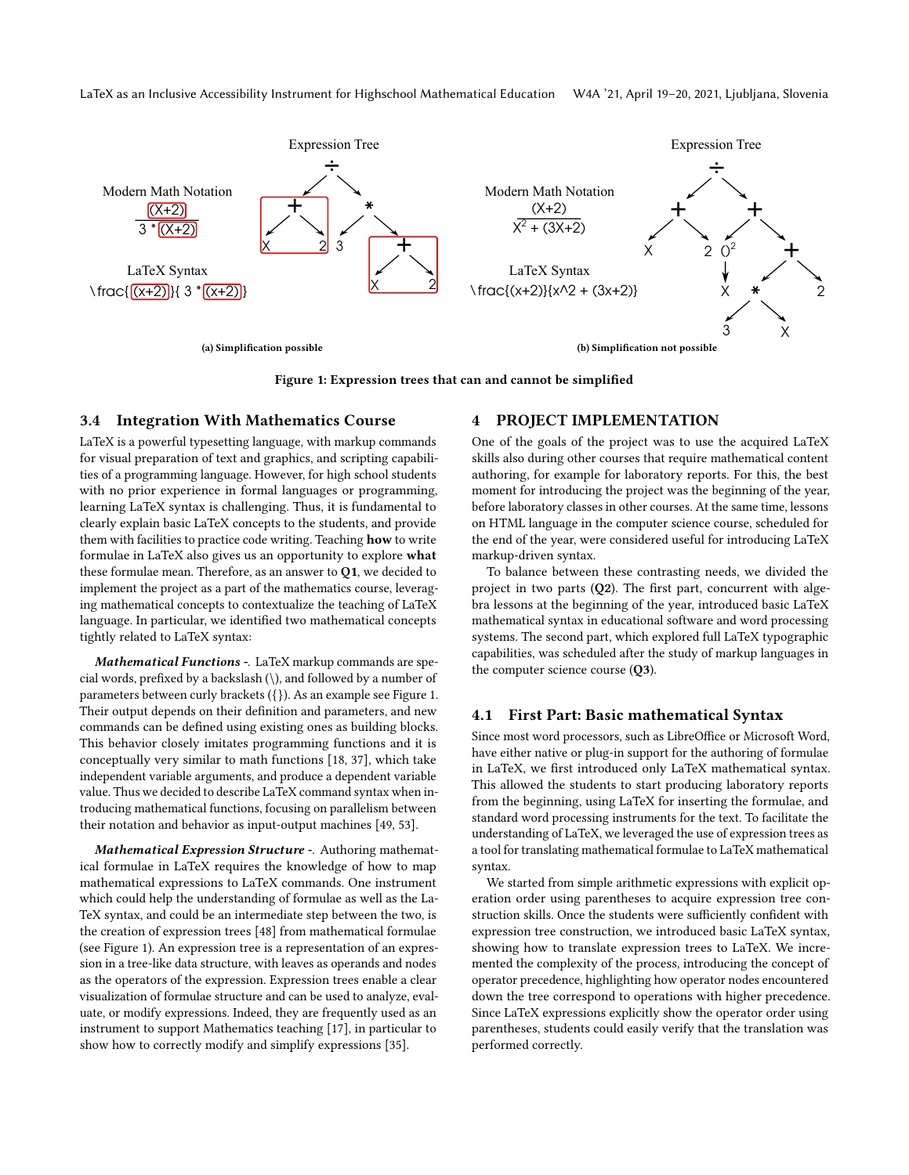LaTeX as an Inclusive Accessibility Instrument for Highschool Mathematical Education W4A '21, April 19–20, 2021, Ljubljana, Slovenia

<span id="page-4-1"></span><span id="page-4-0"></span>

Figure 1: Expression trees that can and cannot be simplifed

#### 3.4 Integration With Mathematics Course

LaTeX is a powerful typesetting language, with markup commands for visual preparation of text and graphics, and scripting capabilities of a programming language. However, for high school students with no prior experience in formal languages or programming, learning LaTeX syntax is challenging. Thus, it is fundamental to clearly explain basic LaTeX concepts to the students, and provide them with facilities to practice code writing. Teaching how to write formulae in LaTeX also gives us an opportunity to explore what these formulae mean. Therefore, as an answer to Q1, we decided to implement the project as a part of the mathematics course, leveraging mathematical concepts to contextualize the teaching of LaTeX language. In particular, we identifed two mathematical concepts tightly related to LaTeX syntax:

Mathematical Functions -. LaTeX markup commands are special words, prefxed by a backslash (\), and followed by a number of parameters between curly brackets ({}). As an example see Figure [1.](#page-4-0) Their output depends on their defnition and parameters, and new commands can be defned using existing ones as building blocks. This behavior closely imitates programming functions and it is conceptually very similar to math functions [\[18,](#page-8-38) [37\]](#page-8-39), which take independent variable arguments, and produce a dependent variable value. Thus we decided to describe LaTeX command syntax when introducing mathematical functions, focusing on parallelism between their notation and behavior as input-output machines [\[49,](#page-8-40) [53\]](#page-8-41).

Mathematical Expression Structure -. Authoring mathematical formulae in LaTeX requires the knowledge of how to map mathematical expressions to LaTeX commands. One instrument which could help the understanding of formulae as well as the La-TeX syntax, and could be an intermediate step between the two, is the creation of expression trees [\[48\]](#page-8-42) from mathematical formulae (see Figure [1\)](#page-4-0). An expression tree is a representation of an expression in a tree-like data structure, with leaves as operands and nodes as the operators of the expression. Expression trees enable a clear visualization of formulae structure and can be used to analyze, evaluate, or modify expressions. Indeed, they are frequently used as an instrument to support Mathematics teaching [\[17\]](#page-8-43), in particular to show how to correctly modify and simplify expressions [\[35\]](#page-8-44).

## <span id="page-4-2"></span>4 PROJECT IMPLEMENTATION

One of the goals of the project was to use the acquired LaTeX skills also during other courses that require mathematical content authoring, for example for laboratory reports. For this, the best moment for introducing the project was the beginning of the year, before laboratory classes in other courses. At the same time, lessons on HTML language in the computer science course, scheduled for the end of the year, were considered useful for introducing LaTeX markup-driven syntax.

To balance between these contrasting needs, we divided the project in two parts  $(Q2)$ . The first part, concurrent with algebra lessons at the beginning of the year, introduced basic LaTeX mathematical syntax in educational software and word processing systems. The second part, which explored full LaTeX typographic capabilities, was scheduled after the study of markup languages in the computer science course (Q3).

## 4.1 First Part: Basic mathematical Syntax

Since most word processors, such as LibreOffice or Microsoft Word, have either native or plug-in support for the authoring of formulae in LaTeX, we frst introduced only LaTeX mathematical syntax. This allowed the students to start producing laboratory reports from the beginning, using LaTeX for inserting the formulae, and standard word processing instruments for the text. To facilitate the understanding of LaTeX, we leveraged the use of expression trees as a tool for translating mathematical formulae to LaTeX mathematical syntax.

We started from simple arithmetic expressions with explicit operation order using parentheses to acquire expression tree construction skills. Once the students were sufficiently confident with expression tree construction, we introduced basic LaTeX syntax, showing how to translate expression trees to LaTeX. We incremented the complexity of the process, introducing the concept of operator precedence, highlighting how operator nodes encountered down the tree correspond to operations with higher precedence. Since LaTeX expressions explicitly show the operator order using parentheses, students could easily verify that the translation was performed correctly.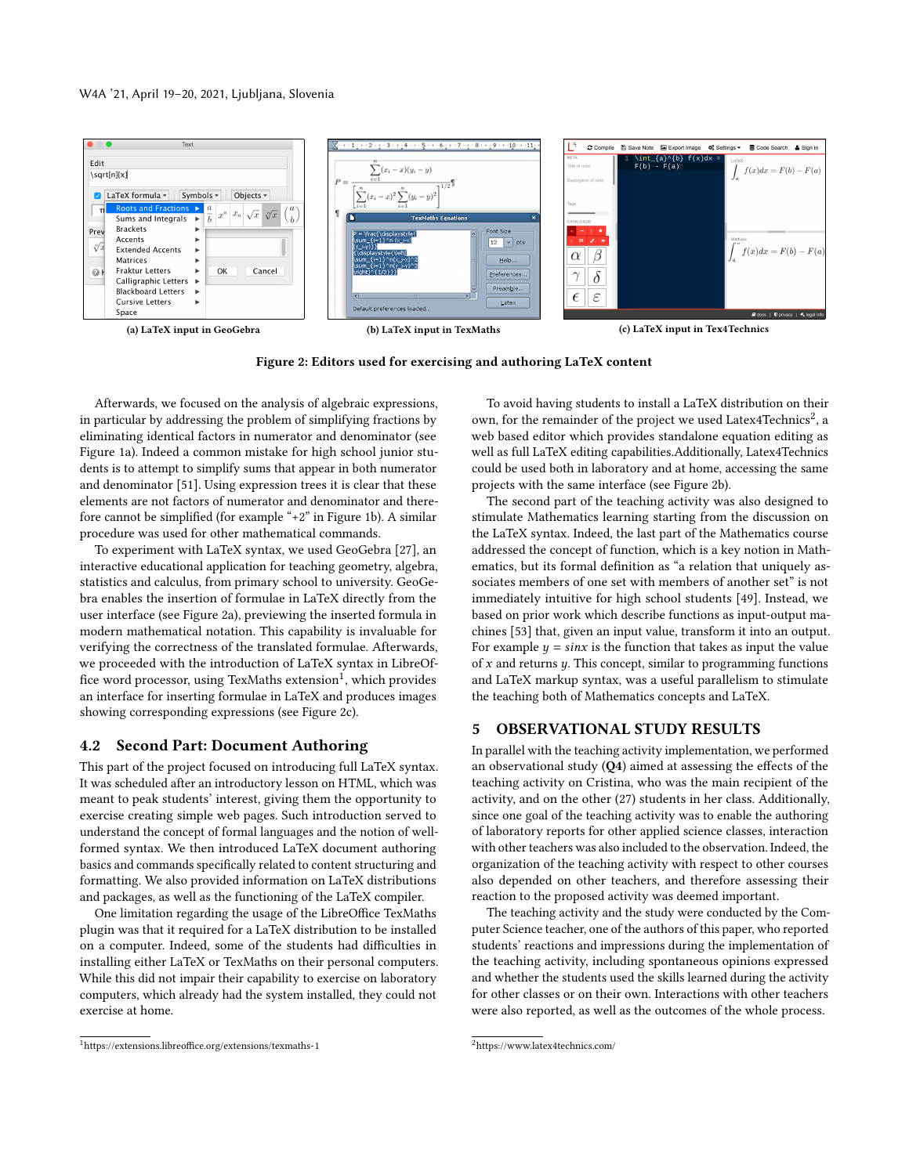<span id="page-5-0"></span>

<span id="page-5-4"></span>Figure 2: Editors used for exercising and authoring LaTeX content

Afterwards, we focused on the analysis of algebraic expressions, in particular by addressing the problem of simplifying fractions by eliminating identical factors in numerator and denominator (see Figure [1a\)](#page-4-1). Indeed a common mistake for high school junior students is to attempt to simplify sums that appear in both numerator and denominator [\[51\]](#page-8-45). Using expression trees it is clear that these elements are not factors of numerator and denominator and therefore cannot be simplified (for example " $+2$ " in Figure [1b\)](#page-4-2). A similar procedure was used for other mathematical commands.

To experiment with LaTeX syntax, we used GeoGebra [\[27\]](#page-8-46), an interactive educational application for teaching geometry, algebra, statistics and calculus, from primary school to university. GeoGebra enables the insertion of formulae in LaTeX directly from the user interface (see Figure [2a\)](#page-5-0), previewing the inserted formula in modern mathematical notation. This capability is invaluable for verifying the correctness of the translated formulae. Afterwards, we proceeded with the introduction of LaTeX syntax in LibreOffice word processor, using TexMaths extension<sup>1</sup>, which provides an interface for inserting formulae in LaTeX and produces images showing corresponding expressions (see Figure [2c\)](#page-5-2).

## 4.2 Second Part: Document Authoring

This part of the project focused on introducing full LaTeX syntax. It was scheduled after an introductory lesson on HTML, which was meant to peak students' interest, giving them the opportunity to exercise creating simple web pages. Such introduction served to understand the concept of formal languages and the notion of wellformed syntax. We then introduced LaTeX document authoring basics and commands specifcally related to content structuring and formatting. We also provided information on LaTeX distributions and packages, as well as the functioning of the LaTeX compiler.

One limitation regarding the usage of the LibreOffice TexMaths plugin was that it required for a LaTeX distribution to be installed on a computer. Indeed, some of the students had difficulties in installing either LaTeX or TexMaths on their personal computers. While this did not impair their capability to exercise on laboratory computers, which already had the system installed, they could not exercise at home.

<span id="page-5-2"></span>To avoid having students to install a LaTeX distribution on their own, for the remainder of the project we used Latex4Technics<sup>2</sup>, a web based editor which provides standalone equation editing as well as full LaTeX editing capabilities.Additionally, Latex4Technics could be used both in laboratory and at home, accessing the same projects with the same interface (see Figure [2b\)](#page-5-4).

The second part of the teaching activity was also designed to stimulate Mathematics learning starting from the discussion on the LaTeX syntax. Indeed, the last part of the Mathematics course addressed the concept of function, which is a key notion in Mathematics, but its formal defnition as "a relation that uniquely associates members of one set with members of another set" is not immediately intuitive for high school students [\[49\]](#page-8-40). Instead, we based on prior work which describe functions as input-output machines [\[53\]](#page-8-41) that, given an input value, transform it into an output. For example  $y = \sin x$  is the function that takes as input the value of  $x$  and returns  $y$ . This concept, similar to programming functions and LaTeX markup syntax, was a useful parallelism to stimulate the teaching both of Mathematics concepts and LaTeX.

#### 5 OBSERVATIONAL STUDY RESULTS

In parallel with the teaching activity implementation, we performed an observational study  $(Q4)$  aimed at assessing the effects of the teaching activity on Cristina, who was the main recipient of the activity, and on the other (27) students in her class. Additionally, since one goal of the teaching activity was to enable the authoring of laboratory reports for other applied science classes, interaction with other teachers was also included to the observation. Indeed, the organization of the teaching activity with respect to other courses also depended on other teachers, and therefore assessing their reaction to the proposed activity was deemed important.

The teaching activity and the study were conducted by the Computer Science teacher, one of the authors of this paper, who reported students' reactions and impressions during the implementation of the teaching activity, including spontaneous opinions expressed and whether the students used the skills learned during the activity for other classes or on their own. Interactions with other teachers were also reported, as well as the outcomes of the whole process.

<span id="page-5-1"></span><sup>&</sup>lt;sup>1</sup>https://extensions.libreoffice.org/extensions/texmaths-1 <sup>2</sup>https://www.latex4technics.com/

<span id="page-5-3"></span>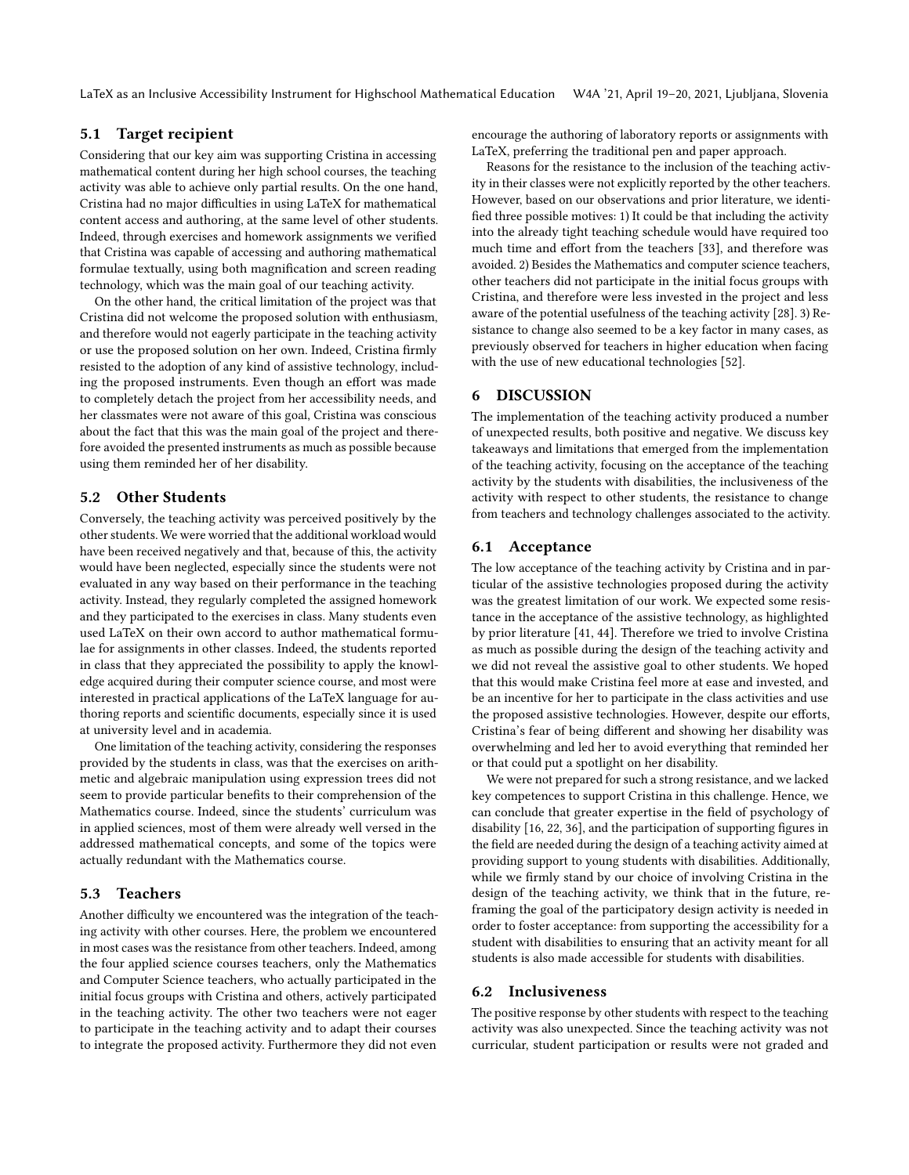LaTeX as an Inclusive Accessibility Instrument for Highschool Mathematical Education W4A '21, April 19–20, 2021, Ljubljana, Slovenia

## 5.1 Target recipient

Considering that our key aim was supporting Cristina in accessing mathematical content during her high school courses, the teaching activity was able to achieve only partial results. On the one hand, Cristina had no major difficulties in using LaTeX for mathematical content access and authoring, at the same level of other students. Indeed, through exercises and homework assignments we verifed that Cristina was capable of accessing and authoring mathematical formulae textually, using both magnifcation and screen reading technology, which was the main goal of our teaching activity.

On the other hand, the critical limitation of the project was that Cristina did not welcome the proposed solution with enthusiasm, and therefore would not eagerly participate in the teaching activity or use the proposed solution on her own. Indeed, Cristina frmly resisted to the adoption of any kind of assistive technology, including the proposed instruments. Even though an effort was made to completely detach the project from her accessibility needs, and her classmates were not aware of this goal, Cristina was conscious about the fact that this was the main goal of the project and therefore avoided the presented instruments as much as possible because using them reminded her of her disability.

## 5.2 Other Students

Conversely, the teaching activity was perceived positively by the other students. We were worried that the additional workload would have been received negatively and that, because of this, the activity would have been neglected, especially since the students were not evaluated in any way based on their performance in the teaching activity. Instead, they regularly completed the assigned homework and they participated to the exercises in class. Many students even used LaTeX on their own accord to author mathematical formulae for assignments in other classes. Indeed, the students reported in class that they appreciated the possibility to apply the knowledge acquired during their computer science course, and most were interested in practical applications of the LaTeX language for authoring reports and scientifc documents, especially since it is used at university level and in academia.

One limitation of the teaching activity, considering the responses provided by the students in class, was that the exercises on arithmetic and algebraic manipulation using expression trees did not seem to provide particular benefts to their comprehension of the Mathematics course. Indeed, since the students' curriculum was in applied sciences, most of them were already well versed in the addressed mathematical concepts, and some of the topics were actually redundant with the Mathematics course.

## 5.3 Teachers

Another difficulty we encountered was the integration of the teaching activity with other courses. Here, the problem we encountered in most cases was the resistance from other teachers. Indeed, among the four applied science courses teachers, only the Mathematics and Computer Science teachers, who actually participated in the initial focus groups with Cristina and others, actively participated in the teaching activity. The other two teachers were not eager to participate in the teaching activity and to adapt their courses to integrate the proposed activity. Furthermore they did not even

encourage the authoring of laboratory reports or assignments with LaTeX, preferring the traditional pen and paper approach.

Reasons for the resistance to the inclusion of the teaching activity in their classes were not explicitly reported by the other teachers. However, based on our observations and prior literature, we identifed three possible motives: 1) It could be that including the activity into the already tight teaching schedule would have required too much time and effort from the teachers [\[33\]](#page-8-47), and therefore was avoided. 2) Besides the Mathematics and computer science teachers, other teachers did not participate in the initial focus groups with Cristina, and therefore were less invested in the project and less aware of the potential usefulness of the teaching activity [\[28\]](#page-8-48). 3) Resistance to change also seemed to be a key factor in many cases, as previously observed for teachers in higher education when facing with the use of new educational technologies [\[52\]](#page-8-49).

## 6 DISCUSSION

The implementation of the teaching activity produced a number of unexpected results, both positive and negative. We discuss key takeaways and limitations that emerged from the implementation of the teaching activity, focusing on the acceptance of the teaching activity by the students with disabilities, the inclusiveness of the activity with respect to other students, the resistance to change from teachers and technology challenges associated to the activity.

## 6.1 Acceptance

The low acceptance of the teaching activity by Cristina and in particular of the assistive technologies proposed during the activity was the greatest limitation of our work. We expected some resistance in the acceptance of the assistive technology, as highlighted by prior literature [\[41,](#page-8-27) [44\]](#page-8-28). Therefore we tried to involve Cristina as much as possible during the design of the teaching activity and we did not reveal the assistive goal to other students. We hoped that this would make Cristina feel more at ease and invested, and be an incentive for her to participate in the class activities and use the proposed assistive technologies. However, despite our efforts, Cristina's fear of being diferent and showing her disability was overwhelming and led her to avoid everything that reminded her or that could put a spotlight on her disability.

We were not prepared for such a strong resistance, and we lacked key competences to support Cristina in this challenge. Hence, we can conclude that greater expertise in the feld of psychology of disability [\[16,](#page-8-50) [22,](#page-8-51) [36\]](#page-8-52), and the participation of supporting fgures in the feld are needed during the design of a teaching activity aimed at providing support to young students with disabilities. Additionally, while we frmly stand by our choice of involving Cristina in the design of the teaching activity, we think that in the future, reframing the goal of the participatory design activity is needed in order to foster acceptance: from supporting the accessibility for a student with disabilities to ensuring that an activity meant for all students is also made accessible for students with disabilities.

## 6.2 Inclusiveness

The positive response by other students with respect to the teaching activity was also unexpected. Since the teaching activity was not curricular, student participation or results were not graded and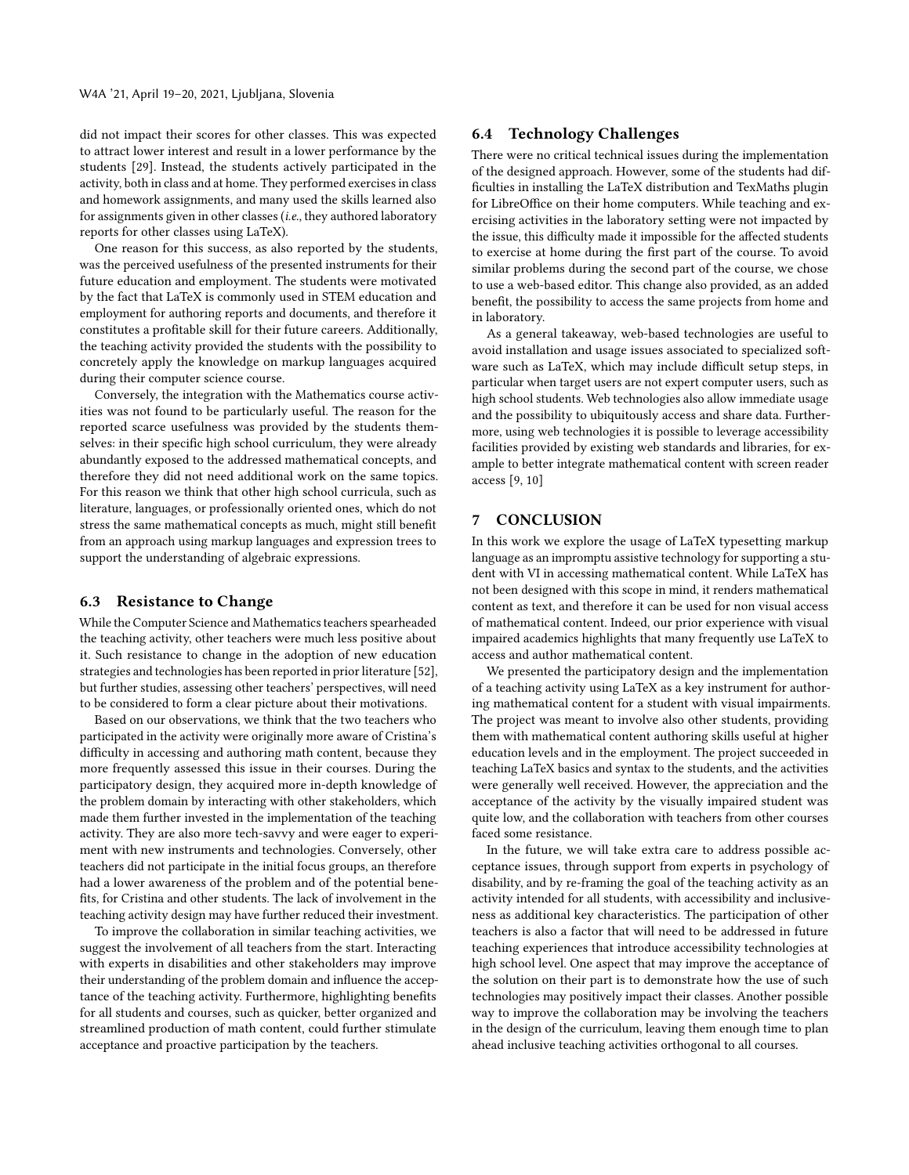did not impact their scores for other classes. This was expected to attract lower interest and result in a lower performance by the students [\[29\]](#page-8-53). Instead, the students actively participated in the activity, both in class and at home. They performed exercises in class and homework assignments, and many used the skills learned also for assignments given in other classes (i.e., they authored laboratory reports for other classes using LaTeX).

One reason for this success, as also reported by the students, was the perceived usefulness of the presented instruments for their future education and employment. The students were motivated by the fact that LaTeX is commonly used in STEM education and employment for authoring reports and documents, and therefore it constitutes a proftable skill for their future careers. Additionally, the teaching activity provided the students with the possibility to concretely apply the knowledge on markup languages acquired during their computer science course.

Conversely, the integration with the Mathematics course activities was not found to be particularly useful. The reason for the reported scarce usefulness was provided by the students themselves: in their specifc high school curriculum, they were already abundantly exposed to the addressed mathematical concepts, and therefore they did not need additional work on the same topics. For this reason we think that other high school curricula, such as literature, languages, or professionally oriented ones, which do not stress the same mathematical concepts as much, might still beneft from an approach using markup languages and expression trees to support the understanding of algebraic expressions.

## 6.3 Resistance to Change

While the Computer Science and Mathematics teachers spearheaded the teaching activity, other teachers were much less positive about it. Such resistance to change in the adoption of new education strategies and technologies has been reported in prior literature [\[52\]](#page-8-49), but further studies, assessing other teachers' perspectives, will need to be considered to form a clear picture about their motivations.

Based on our observations, we think that the two teachers who participated in the activity were originally more aware of Cristina's difficulty in accessing and authoring math content, because they more frequently assessed this issue in their courses. During the participatory design, they acquired more in-depth knowledge of the problem domain by interacting with other stakeholders, which made them further invested in the implementation of the teaching activity. They are also more tech-savvy and were eager to experiment with new instruments and technologies. Conversely, other teachers did not participate in the initial focus groups, an therefore had a lower awareness of the problem and of the potential benefts, for Cristina and other students. The lack of involvement in the teaching activity design may have further reduced their investment.

To improve the collaboration in similar teaching activities, we suggest the involvement of all teachers from the start. Interacting with experts in disabilities and other stakeholders may improve their understanding of the problem domain and infuence the acceptance of the teaching activity. Furthermore, highlighting benefts for all students and courses, such as quicker, better organized and streamlined production of math content, could further stimulate acceptance and proactive participation by the teachers.

## 6.4 Technology Challenges

There were no critical technical issues during the implementation of the designed approach. However, some of the students had diffculties in installing the LaTeX distribution and TexMaths plugin for LibreOffice on their home computers. While teaching and exercising activities in the laboratory setting were not impacted by the issue, this difficulty made it impossible for the affected students to exercise at home during the frst part of the course. To avoid similar problems during the second part of the course, we chose to use a web-based editor. This change also provided, as an added beneft, the possibility to access the same projects from home and in laboratory.

As a general takeaway, web-based technologies are useful to avoid installation and usage issues associated to specialized software such as LaTeX, which may include difficult setup steps, in particular when target users are not expert computer users, such as high school students. Web technologies also allow immediate usage and the possibility to ubiquitously access and share data. Furthermore, using web technologies it is possible to leverage accessibility facilities provided by existing web standards and libraries, for example to better integrate mathematical content with screen reader access [\[9,](#page-8-18) [10\]](#page-8-54)

#### 7 CONCLUSION

In this work we explore the usage of LaTeX typesetting markup language as an impromptu assistive technology for supporting a student with VI in accessing mathematical content. While LaTeX has not been designed with this scope in mind, it renders mathematical content as text, and therefore it can be used for non visual access of mathematical content. Indeed, our prior experience with visual impaired academics highlights that many frequently use LaTeX to access and author mathematical content.

We presented the participatory design and the implementation of a teaching activity using LaTeX as a key instrument for authoring mathematical content for a student with visual impairments. The project was meant to involve also other students, providing them with mathematical content authoring skills useful at higher education levels and in the employment. The project succeeded in teaching LaTeX basics and syntax to the students, and the activities were generally well received. However, the appreciation and the acceptance of the activity by the visually impaired student was quite low, and the collaboration with teachers from other courses faced some resistance.

In the future, we will take extra care to address possible acceptance issues, through support from experts in psychology of disability, and by re-framing the goal of the teaching activity as an activity intended for all students, with accessibility and inclusiveness as additional key characteristics. The participation of other teachers is also a factor that will need to be addressed in future teaching experiences that introduce accessibility technologies at high school level. One aspect that may improve the acceptance of the solution on their part is to demonstrate how the use of such technologies may positively impact their classes. Another possible way to improve the collaboration may be involving the teachers in the design of the curriculum, leaving them enough time to plan ahead inclusive teaching activities orthogonal to all courses.